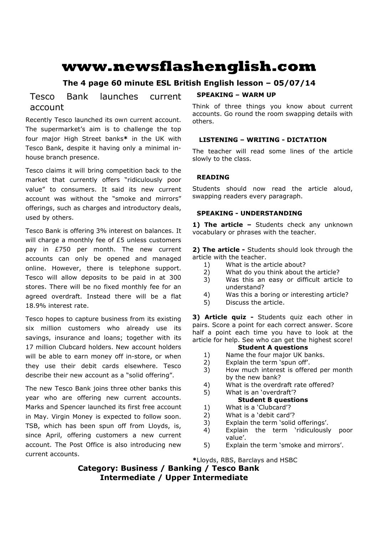# **www.newsflashenglish.com**

# **The 4 page 60 minute ESL British English lesson – 05/07/14**

# Tesco Bank launches current account

Recently Tesco launched its own current account. The supermarket's aim is to challenge the top four major High Street banks**\*** in the UK with Tesco Bank, despite it having only a minimal inhouse branch presence.

Tesco claims it will bring competition back to the market that currently offers "ridiculously poor value" to consumers. It said its new current account was without the "smoke and mirrors" offerings, such as charges and introductory deals, used by others.

Tesco Bank is offering 3% interest on balances. It will charge a monthly fee of £5 unless customers pay in £750 per month. The new current accounts can only be opened and managed online. However, there is telephone support. Tesco will allow deposits to be paid in at 300 stores. There will be no fixed monthly fee for an agreed overdraft. Instead there will be a flat 18.9% interest rate.

Tesco hopes to capture business from its existing six million customers who already use its savings, insurance and loans; together with its 17 million Clubcard holders. New account holders will be able to earn money off in-store, or when they use their debit cards elsewhere. Tesco describe their new account as a "solid offering".

The new Tesco Bank joins three other banks this year who are offering new current accounts. Marks and Spencer launched its first free account in May. Virgin Money is expected to follow soon. TSB, which has been spun off from Lloyds, is, since April, offering customers a new current account. The Post Office is also introducing new current accounts.

# **SPEAKING – WARM UP**

Think of three things you know about current accounts. Go round the room swapping details with others.

# **LISTENING – WRITING - DICTATION**

The teacher will read some lines of the article slowly to the class.

# **READING**

Students should now read the article aloud, swapping readers every paragraph.

### **SPEAKING - UNDERSTANDING**

1) The article - Students check any unknown vocabulary or phrases with the teacher.

**2) The article -** Students should look through the article with the teacher.

- 1) What is the article about?
- 2) What do you think about the article?
- 3) Was this an easy or difficult article to understand?
- 4) Was this a boring or interesting article?
- 5) Discuss the article.

**3) Article quiz -** Students quiz each other in pairs. Score a point for each correct answer. Score half a point each time you have to look at the article for help. See who can get the highest score!

#### **Student A questions**

- 1) Name the four major UK banks.
- 2) Explain the term 'spun off'.
- 3) How much interest is offered per month by the new bank?
- 4) What is the overdraft rate offered?
- 5) What is an 'overdraft'? **Student B questions**

# 1) What is a 'Clubcard'?

- 2) What is a 'debit card'?
- 3) Explain the term 'solid offerings'.
- 4) Explain the term 'ridiculously poor value'.
- 5) Explain the term 'smoke and mirrors'.

**\***Lloyds, RBS, Barclays and HSBC

**Category: Business / Banking / Tesco Bank Intermediate / Upper Intermediate**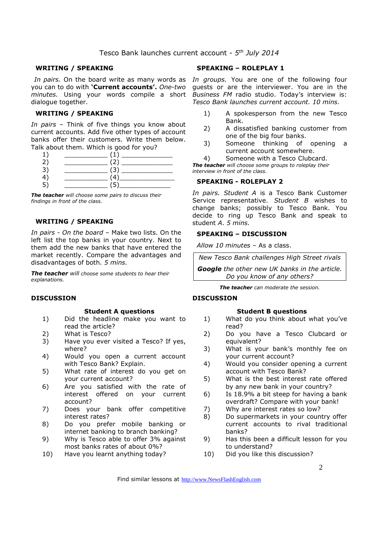#### Tesco Bank launches current account - *5 th July 2014*

#### **WRITING / SPEAKING**

you can to do with **'Current accounts'.** *One-two*  dialogue together.

#### **WRITING / SPEAKING**

*In pairs* – Think of five things you know about current accounts. Add five other types of account banks offer their customers. Write them below. Talk about them. Which is good for you?

*The teacher will choose some pairs to discuss their findings in front of the class.* 

## **WRITING / SPEAKING**

*In pairs - On the board –* Make two lists. On the left list the top banks in your country. Next to them add the new banks that have entered the market recently. Compare the advantages and disadvantages of both. *5 mins.* 

*The teacher will choose some students to hear their explanations.* 

#### **DISCUSSION**

#### **Student A questions**

- 1) Did the headline make you want to read the article?
- 2) What is Tesco?
- 3) Have you ever visited a Tesco? If yes, where?
- 4) Would you open a current account with Tesco Bank? Explain.
- 5) What rate of interest do you get on your current account?
- 6) Are you satisfied with the rate of interest offered on your current account?
- 7) Does your bank offer competitive interest rates?
- 8) Do you prefer mobile banking or internet banking to branch banking?
- 9) Why is Tesco able to offer 3% against most banks rates of about 0%?
- 10) Have you learnt anything today?

#### **SPEAKING – ROLEPLAY 1**

*In pairs.* On the board write as many words as *In groups.* You are one of the following four *minutes.* Using your words compile a short *Business FM* radio studio. Today's interview is: guests or are the interviewer. You are in the *Tesco Bank launches current account. 10 mins.* 

- 1) A spokesperson from the new Tesco Bank.
- 2) A dissatisfied banking customer from one of the big four banks.
- 3) Someone thinking of opening a current account somewhere.
- 4) Someone with a Tesco Clubcard.

*The teacher will choose some groups to roleplay their interview in front of the class.* 

#### **SPEAKING - ROLEPLAY 2**

*In pairs. Student A* is a Tesco Bank Customer Service representative. *Student B* wishes to change banks; possibly to Tesco Bank. You decide to ring up Tesco Bank and speak to student *A*. *5 mins.* 

#### **SPEAKING – DISCUSSION**

*Allow 10 minutes* – As a class.

*New Tesco Bank challenges High Street rivals* 

*Google the other new UK banks in the article. Do you know of any others?* 

*The teacher can moderate the session.*

#### **DISCUSSION**

#### **Student B questions**

- 1) What do you think about what you've read?
- 2) Do you have a Tesco Clubcard or equivalent?
- 3) What is your bank's monthly fee on your current account?
- 4) Would you consider opening a current account with Tesco Bank?
- 5) What is the best interest rate offered by any new bank in your country?
- 6) Is 18.9% a bit steep for having a bank overdraft? Compare with your bank!
- 7) Why are interest rates so low?
- 8) Do supermarkets in your country offer current accounts to rival traditional banks?
- 9) Has this been a difficult lesson for you to understand?
- 10) Did you like this discussion?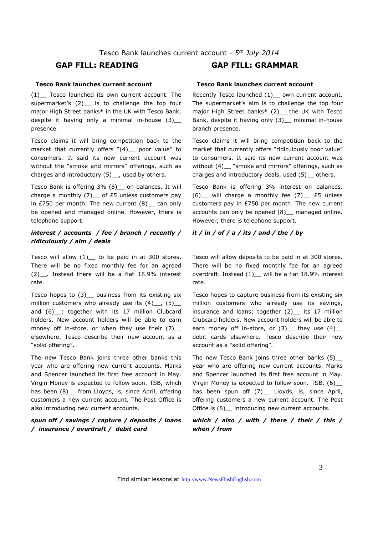#### **Tesco Bank launches current account**

(1) Tesco launched its own current account. The supermarket's (2) is to challenge the top four major High Street banks**\*** in the UK with Tesco Bank, despite it having only a minimal in-house  $(3)$ presence.

Tesco claims it will bring competition back to the market that currently offers "(4)\_ poor value" to consumers. It said its new current account was without the "smoke and mirrors" offerings, such as charges and introductory (5)\_\_, used by others.

Tesco Bank is offering 3% (6)\_\_ on balances. It will charge a monthly  $(7)$  of £5 unless customers pay in £750 per month. The new current  $(8)$  can only be opened and managed online. However, there is telephone support.

### *interest / accounts / fee / branch / recently / ridiculously / aim / deals*

Tesco will allow  $(1)$  to be paid in at 300 stores. There will be no fixed monthly fee for an agreed (2)\_\_. Instead there will be a flat 18.9% interest rate.

Tesco hopes to  $(3)$  business from its existing six million customers who already use its  $(4)$ ,  $(5)$ and (6) ; together with its 17 million Clubcard holders. New account holders will be able to earn money off in-store, or when they use their  $(7)$ elsewhere. Tesco describe their new account as a "solid offering".

The new Tesco Bank joins three other banks this year who are offering new current accounts. Marks and Spencer launched its first free account in May. Virgin Money is expected to follow soon. TSB, which has been (8) from Lloyds, is, since April, offering customers a new current account. The Post Office is also introducing new current accounts.

### *spun off / savings / capture / deposits / loans / insurance / overdraft / debit card*

# **GAP FILL: READING GAP FILL: GRAMMAR**

#### **Tesco Bank launches current account**

Recently Tesco launched (1) own current account. The supermarket's aim is to challenge the top four major High Street banks**\*** (2)\_\_ the UK with Tesco Bank, despite it having only (3)\_\_ minimal in-house branch presence.

Tesco claims it will bring competition back to the market that currently offers "ridiculously poor value" to consumers. It said its new current account was without (4) "smoke and mirrors" offerings, such as charges and introductory deals, used (5) \_ others.

Tesco Bank is offering 3% interest on balances.  $(6)$  will charge a monthly fee  $(7)$  £5 unless customers pay in £750 per month. The new current accounts can only be opened (8)\_\_ managed online. However, there is telephone support.

### *it / in / of / a / its / and / the / by*

Tesco will allow deposits to be paid in at 300 stores. There will be no fixed monthly fee for an agreed overdraft. Instead (1)\_ will be a flat 18.9% interest rate.

Tesco hopes to capture business from its existing six million customers who already use its savings, insurance and loans; together (2) its 17 million Clubcard holders. New account holders will be able to earn money off in-store, or  $(3)$  they use  $(4)$ debit cards elsewhere. Tesco describe their new account as a "solid offering".

The new Tesco Bank joins three other banks (5)\_\_ year who are offering new current accounts. Marks and Spencer launched its first free account in May. Virgin Money is expected to follow soon. TSB, (6)\_\_ has been spun off (7) Lloyds, is, since April, offering customers a new current account. The Post Office is (8) introducing new current accounts.

#### *which / also / with / there / their / this / when / from*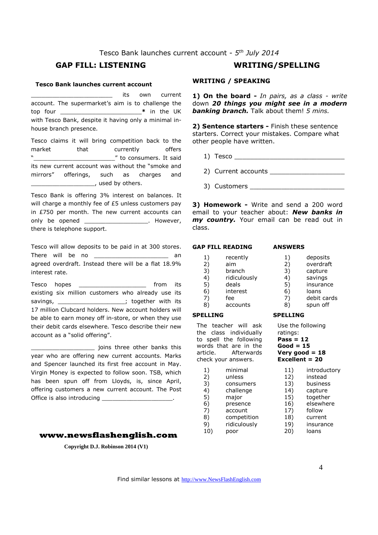#### Tesco Bank launches current account - *5 th July 2014*

# **GAP FILL: LISTENING WRITING/SPELLING**

#### **Tesco Bank launches current account**

its own current account. The supermarket's aim is to challenge the top four \_\_\_\_\_\_\_\_\_\_\_\_\_\_\_\_\_\_\_\_\_\_\_**\*** in the UK with Tesco Bank, despite it having only a minimal inhouse branch presence.

Tesco claims it will bring competition back to the market that currently offers "\_\_\_\_\_\_\_\_\_\_\_\_\_\_\_\_\_\_\_\_\_\_\_" to consumers. It said its new current account was without the "smoke and mirrors" offerings, such as charges and Letter Lused by others.

Tesco Bank is offering 3% interest on balances. It will charge a monthly fee of £5 unless customers pay in £750 per month. The new current accounts can only be opened example to the However, there is telephone support.

Tesco will allow deposits to be paid in at 300 stores. There will be no **an** an agreed overdraft. Instead there will be a flat 18.9% interest rate.

Tesco hopes **the interval of the interval of the interval of the interval of the interval of the interval of the interval of the interval of the interval of the interval of the interval of the interval of the interval of t** existing six million customers who already use its savings, \_\_\_\_\_\_\_\_\_\_\_\_\_\_\_\_\_\_; together with its 17 million Clubcard holders. New account holders will be able to earn money off in-store, or when they use their debit cards elsewhere. Tesco describe their new account as a "solid offering".

\_\_\_\_\_\_\_\_\_\_\_\_\_\_\_\_\_\_ joins three other banks this year who are offering new current accounts. Marks and Spencer launched its first free account in May. Virgin Money is expected to follow soon. TSB, which has been spun off from Lloyds, is, since April, offering customers a new current account. The Post Office is also introducing

#### **www.newsflashenglish.com**

**Copyright D.J. Robinson 2014 (V1)** 

#### **WRITING / SPEAKING**

**1) On the board -** *In pairs, as a class - write* down *20 things you might see in a modern banking branch.* Talk about them! *5 mins.* 

**2) Sentence starters -** Finish these sentence starters. Correct your mistakes. Compare what other people have written.

- 1) Tesco \_\_\_\_\_\_\_\_\_\_\_\_\_\_\_\_\_\_\_\_\_\_\_\_\_\_\_\_
- 2) Current accounts
- 3) Customers \_\_\_\_\_\_\_\_\_\_\_\_\_\_\_\_\_\_\_\_\_\_\_\_

**3) Homework -** Write and send a 200 word email to your teacher about: *New banks in my country.* Your email can be read out in class.

# **GAP FILL READING**  1) recently

| <b>ANSWERS</b> |          |  |  |
|----------------|----------|--|--|
| 1)             | deposits |  |  |

**SPELLING** 

| 2) | overdraft   |
|----|-------------|
| 3) | capture     |
| 4) | savings     |
| 5) | insurance   |
| 6) | loans       |
| 7) | debit cards |
| 8) | spun off    |
|    |             |

#### **SPELLING**

The teacher will ask the class individually to spell the following words that are in the article. Afterwards check your answers.

1) minimal 2) unless 3) consumers 4) challenge 5) major 6) presence 7) account 8) competition 9) ridiculously 10) poor

#### ratings: **Pass = 12 Good = 15**

Use the following

**Very good = 18 Excellent = 20** 

> 11) introductory 12) instead 13) business 14) capture 15) together 16) elsewhere 17) follow 18) current 19) insurance 20) loans